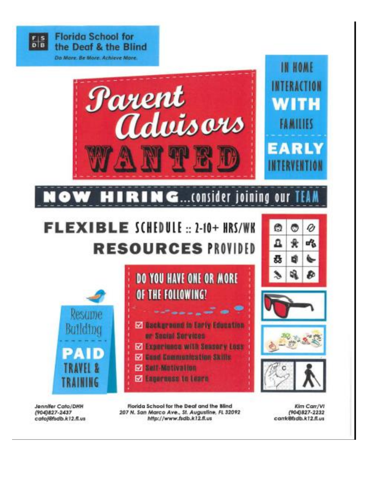

Jennifer Cato/DHH (904)827-2437 catolofidb.k12.fl.us

Florida School for the Deaf and the Blind 207 N. San Marco Ave., St. Augustine, FL 32092 http://www.fsdb.k12.fl.us

Kim Carr/VI (904)827-2232 carrk@fsdb.k12.fl.us